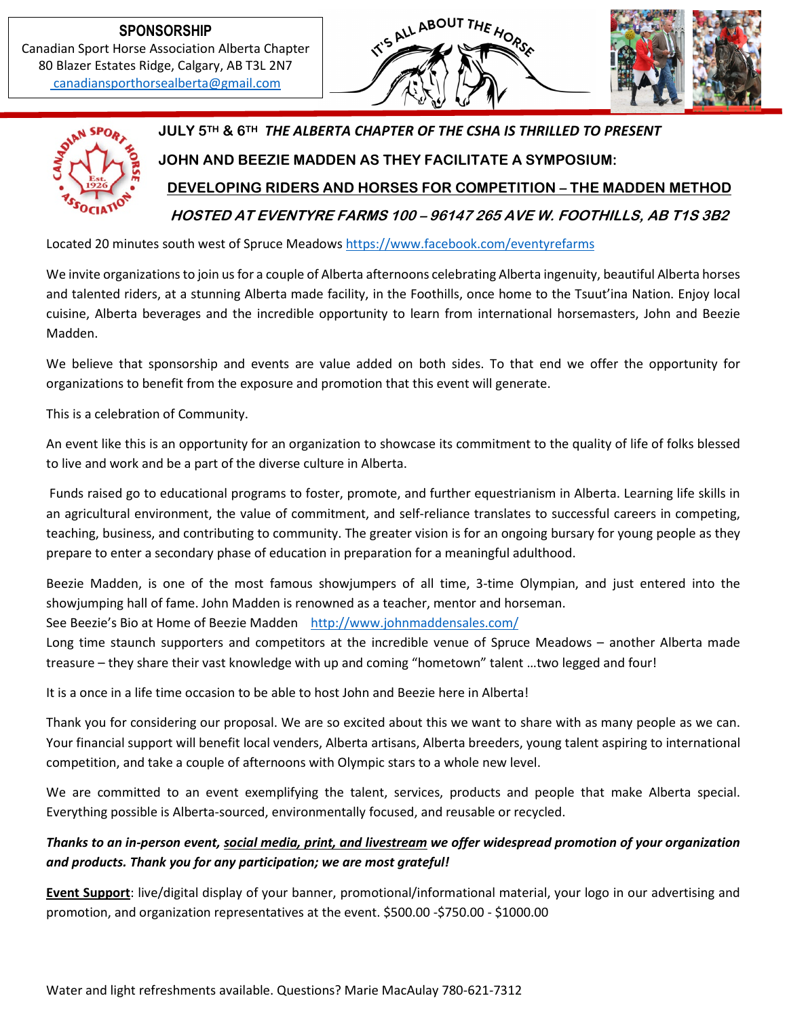**SPONSORSHIP** Canadian Sport Horse Association Alberta Chapter 80 Blazer Estates Ridge, Calgary, AB T3L 2N7 [canadiansporthorsealberta@gmail.com](mailto:%20canadiansporthorsealberta@gmail.com)





**JULY 5TH & 6TH** *THE ALBERTA CHAPTER OF THE CSHA IS THRILLED TO PRESENT* **JOHN AND BEEZIE MADDEN AS THEY FACILITATE A SYMPOSIUM: DEVELOPING RIDERS AND HORSES FOR COMPETITION – THE MADDEN METHOD**

**HOSTED AT EVENTYRE FARMS 100 – 96147 265 AVE W. FOOTHILLS, AB T1S 3B2**

Located 20 minutes south west of Spruce Meadows [https://www.facebook.com/eventyrefarms](https://www.facebook.com/EventyreFarms)

We invite organizations to join us for a couple of Alberta afternoons celebrating Alberta ingenuity, beautiful Alberta horses and talented riders, at a stunning Alberta made facility, in the Foothills, once home to the Tsuut'ina Nation. Enjoy local cuisine, Alberta beverages and the incredible opportunity to learn from international horsemasters, John and Beezie Madden.

We believe that sponsorship and events are value added on both sides. To that end we offer the opportunity for organizations to benefit from the exposure and promotion that this event will generate.

This is a celebration of Community.

An event like this is an opportunity for an organization to showcase its commitment to the quality of life of folks blessed to live and work and be a part of the diverse culture in Alberta.

Funds raised go to educational programs to foster, promote, and further equestrianism in Alberta. Learning life skills in an agricultural environment, the value of commitment, and self-reliance translates to successful careers in competing, teaching, business, and contributing to community. The greater vision is for an ongoing bursary for young people as they prepare to enter a secondary phase of education in preparation for a meaningful adulthood.

Beezie Madden, is one of the most famous showjumpers of all time, 3-time Olympian, and just entered into the showjumping hall of fame. John Madden is renowned as a teacher, mentor and horseman.

See Beezie's Bio at Home of Beezie Madden <http://www.johnmaddensales.com/>

Long time staunch supporters and competitors at the incredible venue of Spruce Meadows – another Alberta made treasure – they share their vast knowledge with up and coming "hometown" talent …two legged and four!

It is a once in a life time occasion to be able to host John and Beezie here in Alberta!

Thank you for considering our proposal. We are so excited about this we want to share with as many people as we can. Your financial support will benefit local venders, Alberta artisans, Alberta breeders, young talent aspiring to international competition, and take a couple of afternoons with Olympic stars to a whole new level.

We are committed to an event exemplifying the talent, services, products and people that make Alberta special. Everything possible is Alberta-sourced, environmentally focused, and reusable or recycled.

#### *Thanks to an in-person event, social media, print, and livestream we offer widespread promotion of your organization and products. Thank you for any participation; we are most grateful!*

**Event Support**: live/digital display of your banner, promotional/informational material, your logo in our advertising and promotion, and organization representatives at the event. \$500.00 -\$750.00 - \$1000.00